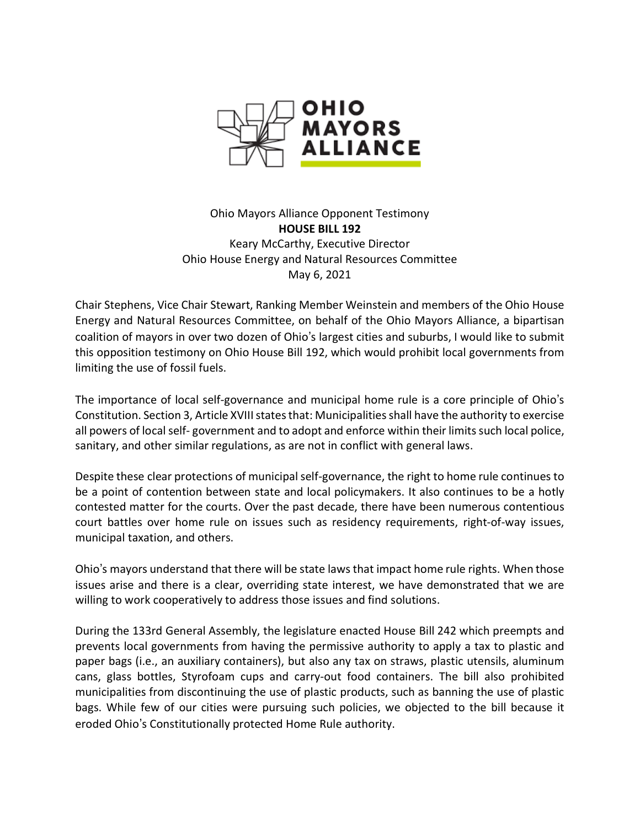

Ohio Mayors Alliance Opponent Testimony **HOUSE BILL 192** Keary McCarthy, Executive Director Ohio House Energy and Natural Resources Committee May 6, 2021

Chair Stephens, Vice Chair Stewart, Ranking Member Weinstein and members of the Ohio House Energy and Natural Resources Committee, on behalf of the Ohio Mayors Alliance, a bipartisan coalition of mayors in over two dozen of Ohio's largest cities and suburbs, I would like to submit this opposition testimony on Ohio House Bill 192, which would prohibit local governments from limiting the use of fossil fuels.

The importance of local self-governance and municipal home rule is a core principle of Ohio's Constitution. Section 3, Article XVIII states that: Municipalities shall have the authority to exercise all powers of local self- government and to adopt and enforce within their limits such local police, sanitary, and other similar regulations, as are not in conflict with general laws.

Despite these clear protections of municipal self-governance, the right to home rule continues to be a point of contention between state and local policymakers. It also continues to be a hotly contested matter for the courts. Over the past decade, there have been numerous contentious court battles over home rule on issues such as residency requirements, right-of-way issues, municipal taxation, and others.

Ohio's mayors understand that there will be state laws that impact home rule rights. When those issues arise and there is a clear, overriding state interest, we have demonstrated that we are willing to work cooperatively to address those issues and find solutions.

During the 133rd General Assembly, the legislature enacted House Bill 242 which preempts and prevents local governments from having the permissive authority to apply a tax to plastic and paper bags (i.e., an auxiliary containers), but also any tax on straws, plastic utensils, aluminum cans, glass bottles, Styrofoam cups and carry-out food containers. The bill also prohibited municipalities from discontinuing the use of plastic products, such as banning the use of plastic bags. While few of our cities were pursuing such policies, we objected to the bill because it eroded Ohio's Constitutionally protected Home Rule authority.